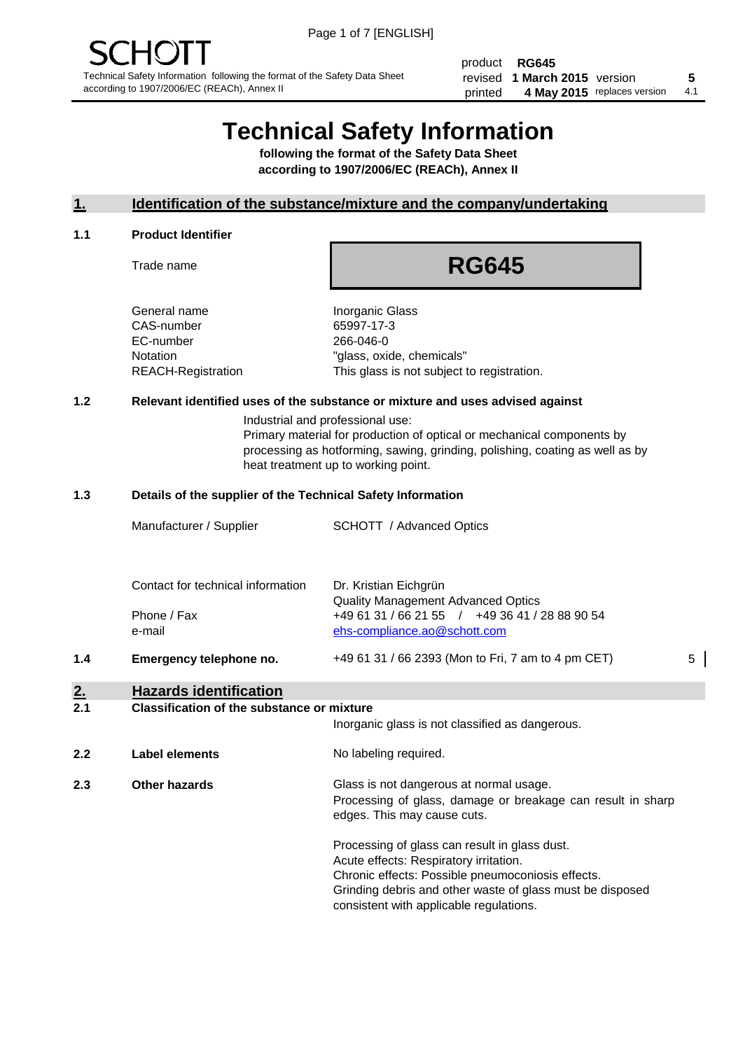product **RG645** revised **5 1 March 2015** version printed 4 May 2015 replaces version 4.1

# **Technical Safety Information**

**following the format of the Safety Data Sheet according to 1907/2006/EC (REACh), Annex II**

#### **1. Identification of the substance/mixture and the company/undertaking**

#### **1.1 Product Identifier**

Trade name

## **RG645**

General name **Inorganic Glass** CAS-number 65997-17-3 EC-number 266-046-0

Notation "glass, oxide, chemicals" REACH-Registration This glass is not subject to registration.

#### **1.2 Relevant identified uses of the substance or mixture and uses advised against**

Industrial and professional use: Primary material for production of optical or mechanical components by processing as hotforming, sawing, grinding, polishing, coating as well as by heat treatment up to working point.

#### **1.3 Details of the supplier of the Technical Safety Information**

| 1.4 | Emergency telephone no.           | +49 61 31 / 66 2393 (Mon to Fri, 7 am to 4 pm CET)                                                                          | 5 |
|-----|-----------------------------------|-----------------------------------------------------------------------------------------------------------------------------|---|
|     | Phone / Fax<br>e-mail             | <b>Quality Management Advanced Optics</b><br>+49 61 31 / 66 21 55 / +49 36 41 / 28 88 90 54<br>ehs-compliance.ao@schott.com |   |
|     | Contact for technical information | Dr. Kristian Eichgrün                                                                                                       |   |
|     | Manufacturer / Supplier           | <b>SCHOTT</b> / Advanced Optics                                                                                             |   |

### **2. Hazards identification**

#### **2.1 Classification of the substance or mixture**

|     |                      | Inorganic glass is not classified as dangerous.                                                                                                                                                                                                      |
|-----|----------------------|------------------------------------------------------------------------------------------------------------------------------------------------------------------------------------------------------------------------------------------------------|
| 2.2 | Label elements       | No labeling required.                                                                                                                                                                                                                                |
| 2.3 | <b>Other hazards</b> | Glass is not dangerous at normal usage.<br>Processing of glass, damage or breakage can result in sharp<br>edges. This may cause cuts.                                                                                                                |
|     |                      | Processing of glass can result in glass dust.<br>Acute effects: Respiratory irritation.<br>Chronic effects: Possible pneumoconiosis effects.<br>Grinding debris and other waste of glass must be disposed<br>consistent with applicable regulations. |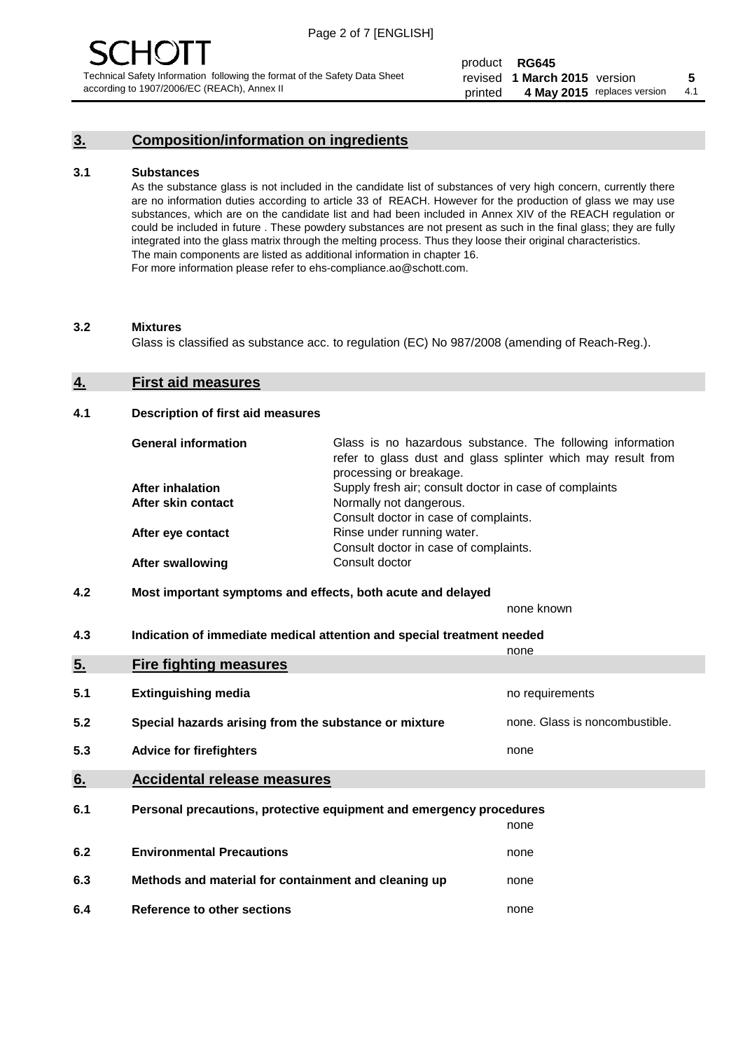#### **3. Composition/information on ingredients**

#### **3.1 Substances**

As the substance glass is not included in the candidate list of substances of very high concern, currently there are no information duties according to article 33 of REACH. However for the production of glass we may use substances, which are on the candidate list and had been included in Annex XIV of the REACH regulation or could be included in future . These powdery substances are not present as such in the final glass; they are fully integrated into the glass matrix through the melting process. Thus they loose their original characteristics. The main components are listed as additional information in chapter 16. For more information please refer to ehs-compliance.ao@schott.com.

#### **3.2 Mixtures**

Glass is classified as substance acc. to regulation (EC) No 987/2008 (amending of Reach-Reg.).

#### **4. First aid measures**

#### **4.1 Description of first aid measures**

| <b>General information</b> | Glass is no hazardous substance. The following information<br>refer to glass dust and glass splinter which may result from<br>processing or breakage. |
|----------------------------|-------------------------------------------------------------------------------------------------------------------------------------------------------|
| After inhalation           | Supply fresh air; consult doctor in case of complaints                                                                                                |
| After skin contact         | Normally not dangerous.                                                                                                                               |
|                            | Consult doctor in case of complaints.                                                                                                                 |
| After eye contact          | Rinse under running water.                                                                                                                            |
|                            | Consult doctor in case of complaints.                                                                                                                 |
| <b>After swallowing</b>    | Consult doctor                                                                                                                                        |

#### **4.2 Most important symptoms and effects, both acute and delayed**

none known

**4.3 Indication of immediate medical attention and special treatment needed** 

|     |                                                                     | none                           |
|-----|---------------------------------------------------------------------|--------------------------------|
| 5.  | <b>Fire fighting measures</b>                                       |                                |
| 5.1 | <b>Extinguishing media</b>                                          | no requirements                |
| 5.2 | Special hazards arising from the substance or mixture               | none. Glass is noncombustible. |
| 5.3 | <b>Advice for firefighters</b>                                      | none                           |
| 6.  | <b>Accidental release measures</b>                                  |                                |
| 6.1 | Personal precautions, protective equipment and emergency procedures |                                |
|     |                                                                     | none                           |
| 6.2 | <b>Environmental Precautions</b>                                    | none                           |
| 6.3 | Methods and material for containment and cleaning up                | none                           |
| 6.4 | Reference to other sections                                         | none                           |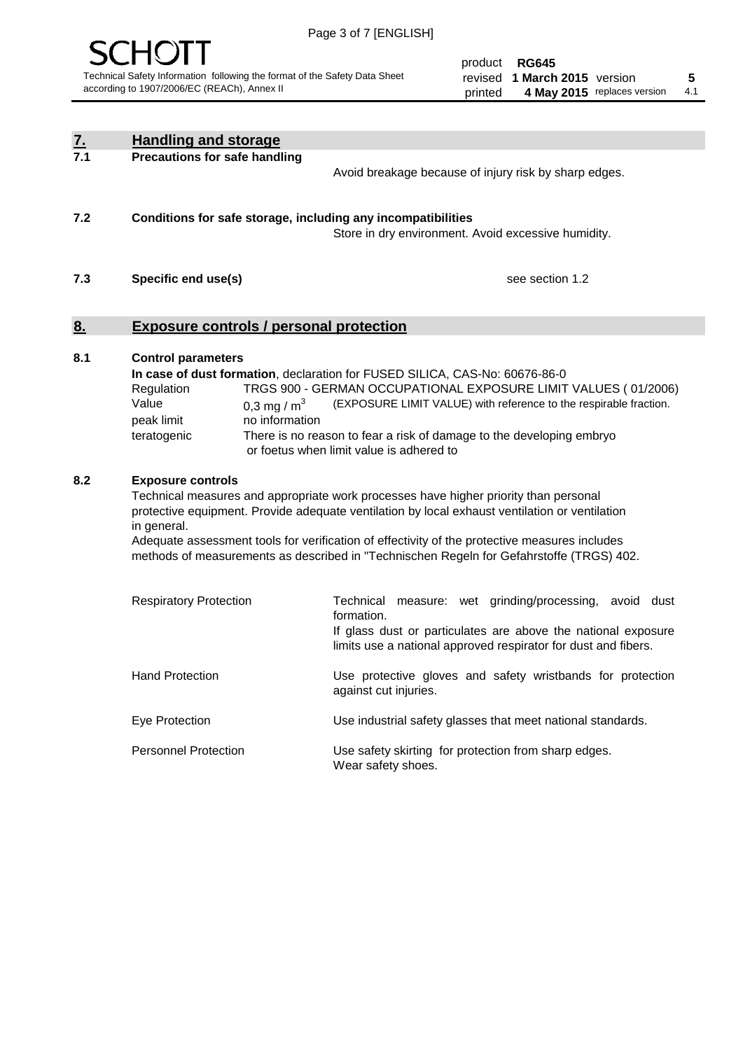

| <u>7.</u><br>7.1 | <b>Handling and storage</b>                                                                                                                                                                                                                                                                                                                                                                                                    |                                                                                                                                                                                                                                                                                                                                        |
|------------------|--------------------------------------------------------------------------------------------------------------------------------------------------------------------------------------------------------------------------------------------------------------------------------------------------------------------------------------------------------------------------------------------------------------------------------|----------------------------------------------------------------------------------------------------------------------------------------------------------------------------------------------------------------------------------------------------------------------------------------------------------------------------------------|
|                  | <b>Precautions for safe handling</b>                                                                                                                                                                                                                                                                                                                                                                                           | Avoid breakage because of injury risk by sharp edges.                                                                                                                                                                                                                                                                                  |
| 7.2              | Conditions for safe storage, including any incompatibilities                                                                                                                                                                                                                                                                                                                                                                   | Store in dry environment. Avoid excessive humidity.                                                                                                                                                                                                                                                                                    |
| 7.3              | Specific end use(s)                                                                                                                                                                                                                                                                                                                                                                                                            | see section 1.2                                                                                                                                                                                                                                                                                                                        |
| <u>8.</u>        | <b>Exposure controls / personal protection</b>                                                                                                                                                                                                                                                                                                                                                                                 |                                                                                                                                                                                                                                                                                                                                        |
| 8.1              | <b>Control parameters</b><br>Regulation<br>Value<br>0,3 mg / $m3$<br>peak limit<br>no information<br>teratogenic                                                                                                                                                                                                                                                                                                               | In case of dust formation, declaration for FUSED SILICA, CAS-No: 60676-86-0<br>TRGS 900 - GERMAN OCCUPATIONAL EXPOSURE LIMIT VALUES (01/2006)<br>(EXPOSURE LIMIT VALUE) with reference to the respirable fraction.<br>There is no reason to fear a risk of damage to the developing embryo<br>or foetus when limit value is adhered to |
| 8.2              | <b>Exposure controls</b><br>Technical measures and appropriate work processes have higher priority than personal<br>protective equipment. Provide adequate ventilation by local exhaust ventilation or ventilation<br>in general.<br>Adequate assessment tools for verification of effectivity of the protective measures includes<br>methods of measurements as described in "Technischen Regeln for Gefahrstoffe (TRGS) 402. |                                                                                                                                                                                                                                                                                                                                        |
|                  | <b>Respiratory Protection</b>                                                                                                                                                                                                                                                                                                                                                                                                  | Technical measure: wet grinding/processing, avoid dust<br>formation.<br>If glass dust or particulates are above the national exposure<br>limits use a national approved respirator for dust and fibers.                                                                                                                                |
|                  | <b>Hand Protection</b>                                                                                                                                                                                                                                                                                                                                                                                                         | Use protective gloves and safety wristbands for protection<br>against cut injuries.                                                                                                                                                                                                                                                    |
|                  | Eye Protection                                                                                                                                                                                                                                                                                                                                                                                                                 | Use industrial safety glasses that meet national standards.                                                                                                                                                                                                                                                                            |
|                  | <b>Personnel Protection</b>                                                                                                                                                                                                                                                                                                                                                                                                    | Use safety skirting for protection from sharp edges.<br>Wear safety shoes.                                                                                                                                                                                                                                                             |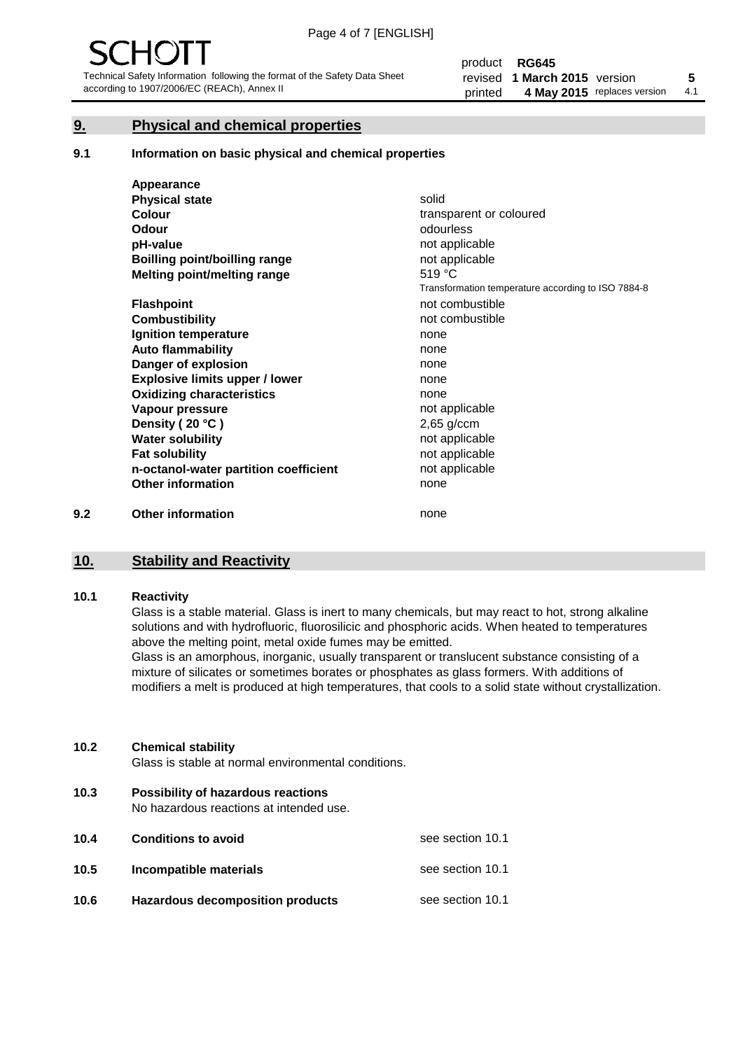#### **9. Physical and chemical properties**

#### **9.1 Information on basic physical and chemical properties**

|     | Appearance                            |                                                    |
|-----|---------------------------------------|----------------------------------------------------|
|     | <b>Physical state</b>                 | solid                                              |
|     | <b>Colour</b>                         | transparent or coloured                            |
|     | Odour                                 | odourless                                          |
|     | pH-value                              | not applicable                                     |
|     | Boilling point/boilling range         | not applicable                                     |
|     | Melting point/melting range           | 519 °C                                             |
|     |                                       | Transformation temperature according to ISO 7884-8 |
|     | <b>Flashpoint</b>                     | not combustible                                    |
|     | <b>Combustibility</b>                 | not combustible                                    |
|     | Ignition temperature                  | none                                               |
|     | <b>Auto flammability</b>              | none                                               |
|     | Danger of explosion                   | none                                               |
|     | <b>Explosive limits upper / lower</b> | none                                               |
|     | <b>Oxidizing characteristics</b>      | none                                               |
|     | Vapour pressure                       | not applicable                                     |
|     | Density (20 °C)                       | $2,65$ g/ccm                                       |
|     | <b>Water solubility</b>               | not applicable                                     |
|     | <b>Fat solubility</b>                 | not applicable                                     |
|     | n-octanol-water partition coefficient | not applicable                                     |
|     | <b>Other information</b>              | none                                               |
| 9.2 | <b>Other information</b>              | none                                               |

#### **10. Stability and Reactivity**

#### **10.1 Reactivity**

Glass is a stable material. Glass is inert to many chemicals, but may react to hot, strong alkaline solutions and with hydrofluoric, fluorosilicic and phosphoric acids. When heated to temperatures above the melting point, metal oxide fumes may be emitted.

Glass is an amorphous, inorganic, usually transparent or translucent substance consisting of a mixture of silicates or sometimes borates or phosphates as glass formers. With additions of modifiers a melt is produced at high temperatures, that cools to a solid state without crystallization.

#### **10.2 Chemical stability**

Glass is stable at normal environmental conditions.

**10.3 Possibility of hazardous reactions** 

No hazardous reactions at intended use.

| 10.4 | <b>Conditions to avoid</b>              | see section 10.1 |
|------|-----------------------------------------|------------------|
| 10.5 | Incompatible materials                  | see section 10.1 |
| 10.6 | <b>Hazardous decomposition products</b> | see section 10.1 |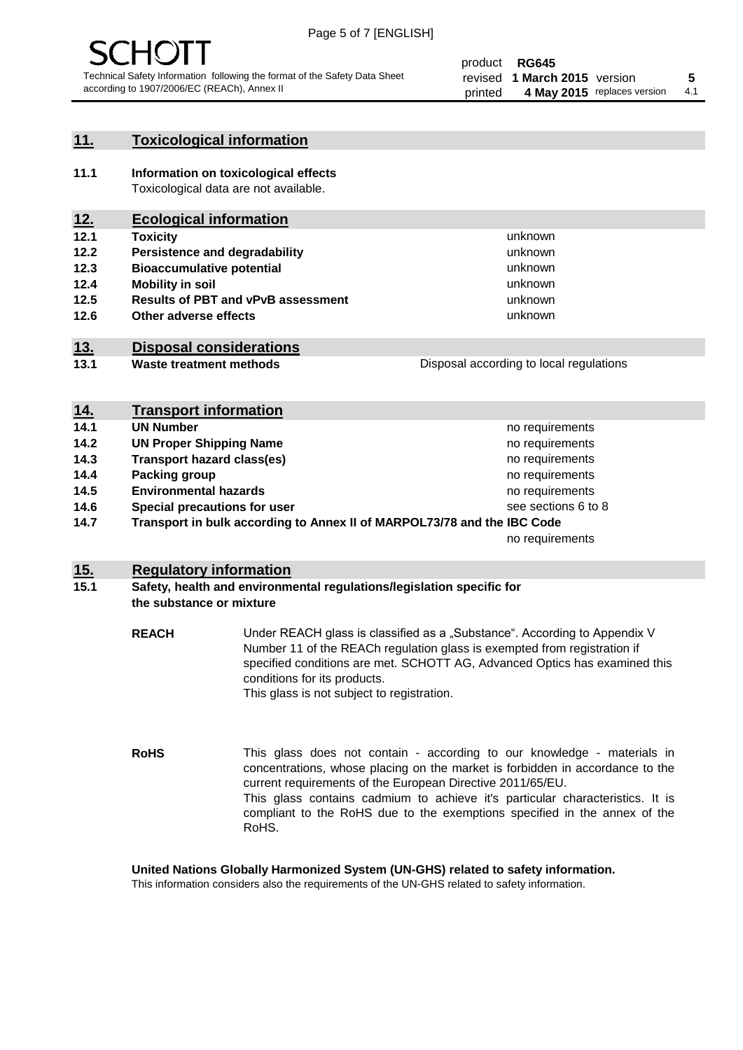

#### **11. Toxicological information**

**11.1 Information on toxicological effects** Toxicological data are not available.

### **12. Ecological information**

- **12.1 Toxicity**
- **12.2 Persistence and degradability**
- **12.3 Bioaccumulative potential**
- **12.4 Mobility in soil**
- **12.5 Results of PBT and vPvB assessment**
- **12.6 Other adverse effects**

#### **13. Disposal considerations**

- **13.1 Waste treatment methods**
- Disposal according to local regulations

unknown unknown unknown unknown

unknown unknown

| <u>14.</u> | <b>Transport information</b>                                            |                     |
|------------|-------------------------------------------------------------------------|---------------------|
| 14.1       | <b>UN Number</b>                                                        | no requirements     |
| 14.2       | <b>UN Proper Shipping Name</b>                                          | no requirements     |
| 14.3       | <b>Transport hazard class(es)</b>                                       | no requirements     |
| 14.4       | Packing group                                                           | no requirements     |
| 14.5       | <b>Environmental hazards</b>                                            | no requirements     |
| 14.6       | Special precautions for user                                            | see sections 6 to 8 |
| 14.7       | Transport in bulk according to Annex II of MARPOL73/78 and the IBC Code |                     |
|            |                                                                         | no requirements     |

#### **15. Regulatory information**

#### **15.1 Safety, health and environmental regulations/legislation specific for the substance or mixture**

**REACH** Under REACH glass is classified as a "Substance". According to Appendix V Number 11 of the REACh regulation glass is exempted from registration if specified conditions are met. SCHOTT AG, Advanced Optics has examined this conditions for its products. This glass is not subject to registration.

**RoHS** This glass does not contain - according to our knowledge - materials in concentrations, whose placing on the market is forbidden in accordance to the current requirements of the European Directive 2011/65/EU. This glass contains cadmium to achieve it's particular characteristics. It is compliant to the RoHS due to the exemptions specified in the annex of the RoHS.

**United Nations Globally Harmonized System (UN-GHS) related to safety information.**

This information considers also the requirements of the UN-GHS related to safety information.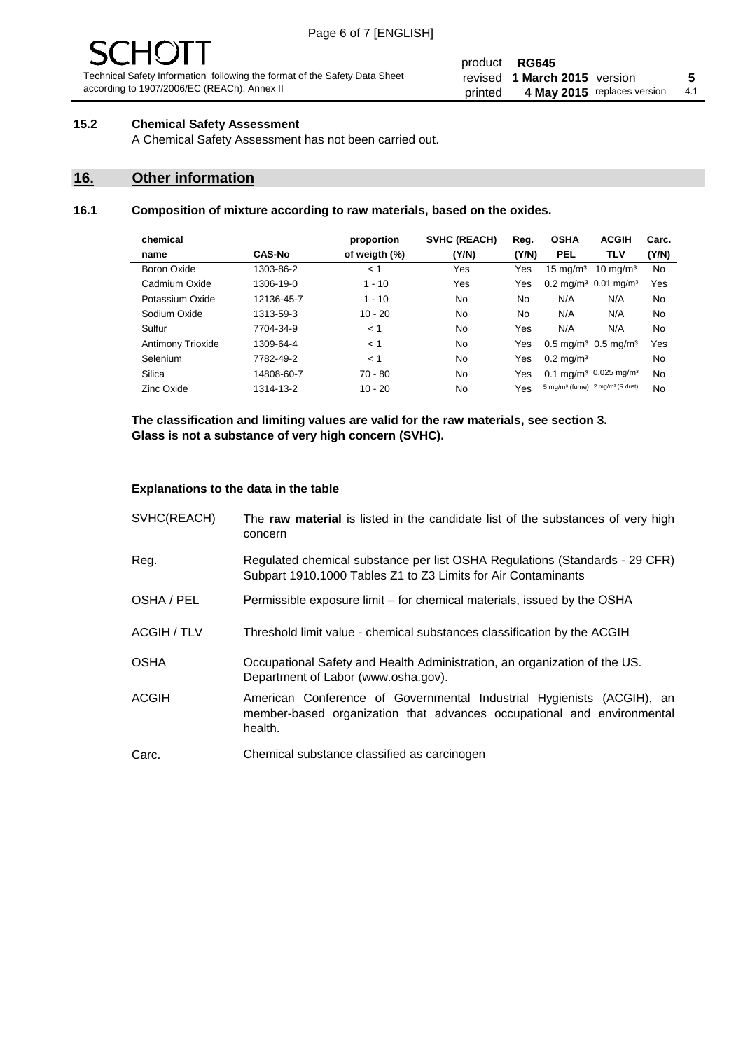# - JF

Technical Safety Information following the format of the Safety Data Sheet according to 1907/2006/EC (REACh), Annex II

#### product **RG645** revised **5 1 March 2015** version printed 4 May 2015 replaces version 4.1

#### **15.2 Chemical Safety Assessment**

A Chemical Safety Assessment has not been carried out.

#### **16. Other information**

#### **16.1 Composition of mixture according to raw materials, based on the oxides.**

| chemical                 |               | proportion    | SVHC (REACH) | Reg.  | <b>OSHA</b>                                             | <b>ACGIH</b>        | Carc. |
|--------------------------|---------------|---------------|--------------|-------|---------------------------------------------------------|---------------------|-------|
| name                     | <b>CAS-No</b> | of weigth (%) | (Y/N)        | (Y/N) | <b>PEL</b>                                              | <b>TLV</b>          | (Y/N) |
| Boron Oxide              | 1303-86-2     | < 1           | Yes          | Yes   | $15 \text{ mg/m}^3$                                     | $10 \text{ mg/m}^3$ | No    |
| Cadmium Oxide            | 1306-19-0     | $1 - 10$      | Yes          | Yes   | $0.2 \text{ mg/m}^3$ 0.01 mg/m <sup>3</sup>             |                     | Yes   |
| Potassium Oxide          | 12136-45-7    | $1 - 10$      | No           | No    | N/A                                                     | N/A                 | No    |
| Sodium Oxide             | 1313-59-3     | $10 - 20$     | No           | No    | N/A                                                     | N/A                 | No    |
| Sulfur                   | 7704-34-9     | < 1           | <b>No</b>    | Yes   | N/A                                                     | N/A                 | No    |
| <b>Antimony Trioxide</b> | 1309-64-4     | < 1           | No           | Yes   | $0.5 \text{ mg/m}^3$ 0.5 mg/m <sup>3</sup>              |                     | Yes   |
| Selenium                 | 7782-49-2     | < 1           | No           | Yes   | $0.2 \,\mathrm{mq/m^3}$                                 |                     | No    |
| Silica                   | 14808-60-7    | $70 - 80$     | No           | Yes   | $0.1 \text{ mg/m}^3$ 0.025 mg/m <sup>3</sup>            |                     | No    |
| Zinc Oxide               | 1314-13-2     | $10 - 20$     | No           | Yes   | 5 mg/m <sup>3</sup> (fume) 2 mg/m <sup>3</sup> (R dust) |                     | No    |
|                          |               |               |              |       |                                                         |                     |       |

**The classification and limiting values are valid for the raw materials, see section 3. Glass is not a substance of very high concern (SVHC).**

#### **Explanations to the data in the table**

| SVHC(REACH)        | The raw material is listed in the candidate list of the substances of very high<br>concern                                                                 |
|--------------------|------------------------------------------------------------------------------------------------------------------------------------------------------------|
| Reg.               | Regulated chemical substance per list OSHA Regulations (Standards - 29 CFR)<br>Subpart 1910.1000 Tables Z1 to Z3 Limits for Air Contaminants               |
| OSHA / PEL         | Permissible exposure limit – for chemical materials, issued by the OSHA                                                                                    |
| <b>ACGIH / TLV</b> | Threshold limit value - chemical substances classification by the ACGIH                                                                                    |
| <b>OSHA</b>        | Occupational Safety and Health Administration, an organization of the US.<br>Department of Labor (www.osha.gov).                                           |
| ACGIH              | American Conference of Governmental Industrial Hygienists (ACGIH), an<br>member-based organization that advances occupational and environmental<br>health. |
| Carc.              | Chemical substance classified as carcinogen                                                                                                                |